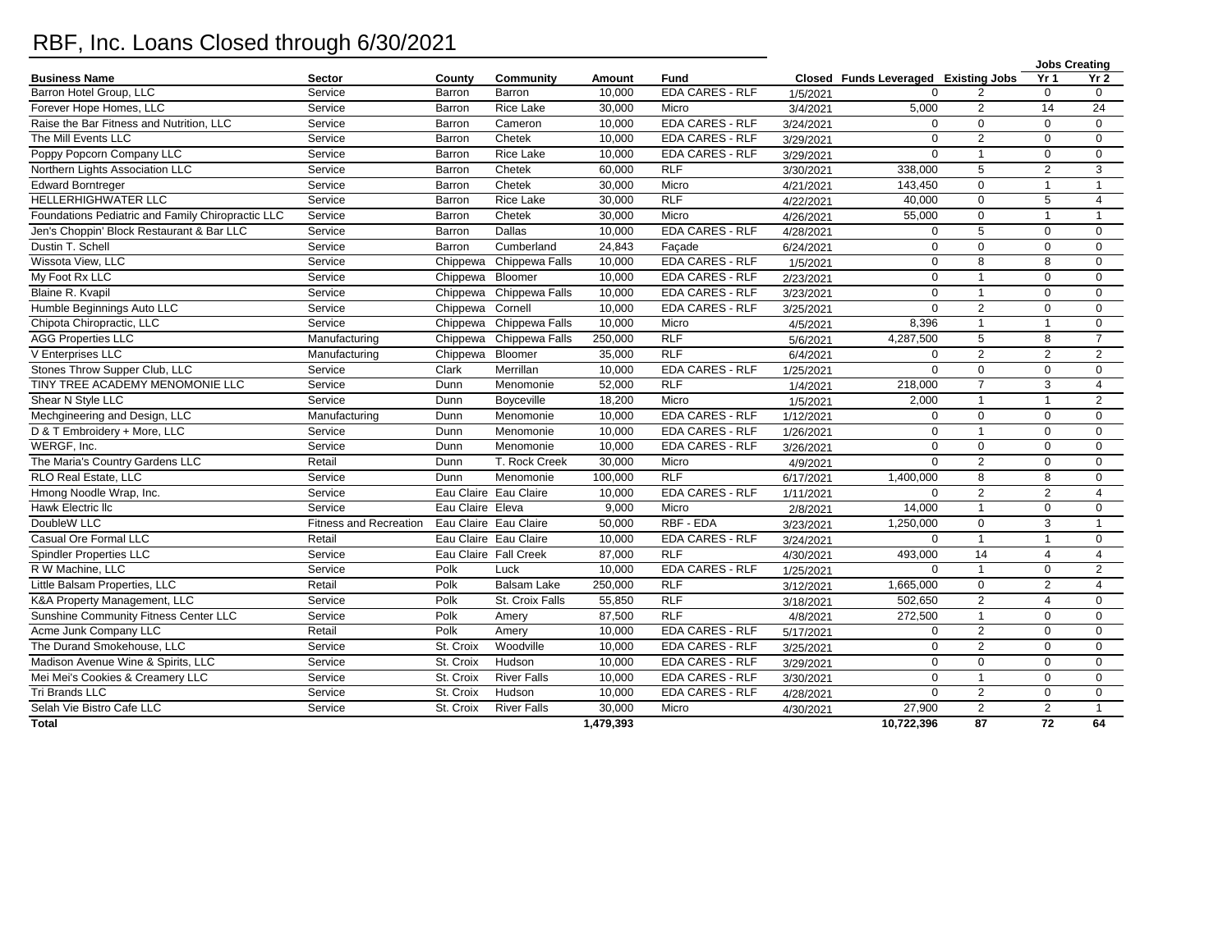## RBF, Inc. Loans Closed through 6/30/2021

|                                                   |                               |                  |                         |           |                        |           |                                      |                         |                 | <b>Jobs Creating</b> |
|---------------------------------------------------|-------------------------------|------------------|-------------------------|-----------|------------------------|-----------|--------------------------------------|-------------------------|-----------------|----------------------|
| <b>Business Name</b>                              | Sector                        | County           | Community               | Amount    | <b>Fund</b>            |           | Closed Funds Leveraged Existing Jobs |                         | Yr <sub>1</sub> | Yr <sub>2</sub>      |
| Barron Hotel Group, LLC                           | Service                       | Barron           | Barron                  | 10.000    | <b>EDA CARES - RLF</b> | 1/5/2021  | $\Omega$                             | $\overline{2}$          | $\Omega$        | $\mathbf 0$          |
| Forever Hope Homes, LLC                           | Service                       | Barron           | Rice Lake               | 30,000    | Micro                  | 3/4/2021  | 5,000                                | $\overline{2}$          | 14              | $\overline{24}$      |
| Raise the Bar Fitness and Nutrition, LLC          | Service                       | Barron           | Cameron                 | 10.000    | <b>EDA CARES - RLF</b> | 3/24/2021 | $\Omega$                             | $\Omega$                | $\Omega$        | $\Omega$             |
| The Mill Events LLC                               | Service                       | Barron           | Chetek                  | 10.000    | <b>EDA CARES - RLF</b> | 3/29/2021 | $\Omega$                             | 2                       | $\Omega$        | $\Omega$             |
| Poppy Popcorn Company LLC                         | Service                       | Barron           | Rice Lake               | 10,000    | <b>EDA CARES - RLF</b> | 3/29/2021 | $\Omega$                             | $\mathbf{1}$            | $\Omega$        | $\mathbf 0$          |
| Northern Lights Association LLC                   | Service                       | Barron           | Chetek                  | 60,000    | <b>RLF</b>             | 3/30/2021 | 338,000                              | 5                       | 2               | 3                    |
| <b>Edward Borntreger</b>                          | Service                       | Barron           | Chetek                  | 30,000    | Micro                  | 4/21/2021 | 143,450                              | $\mathbf 0$             | $\overline{1}$  | $\mathbf{1}$         |
| HELLERHIGHWATER LLC                               | Service                       | Barron           | Rice Lake               | 30,000    | RLF                    | 4/22/2021 | 40,000                               | $\mathbf{0}$            | 5               | $\overline{4}$       |
| Foundations Pediatric and Family Chiropractic LLC | Service                       | Barron           | Chetek                  | 30,000    | Micro                  | 4/26/2021 | 55,000                               | $\mathbf 0$             | $\overline{1}$  | $\mathbf{1}$         |
| Jen's Choppin' Block Restaurant & Bar LLC         | Service                       | Barron           | Dallas                  | 10,000    | <b>EDA CARES - RLF</b> | 4/28/2021 | $\Omega$                             | 5                       | $\Omega$        | $\Omega$             |
| Dustin T. Schell                                  | Service                       | Barron           | Cumberland              | 24,843    | Façade                 | 6/24/2021 | $\Omega$                             | $\Omega$                | $\Omega$        | $\Omega$             |
| Wissota View, LLC                                 | Service                       | Chippewa         | Chippewa Falls          | 10,000    | <b>EDA CARES - RLF</b> | 1/5/2021  | $\Omega$                             | 8                       | 8               | $\Omega$             |
| My Foot Rx LLC                                    | Service                       | Chippewa         | Bloomer                 | 10,000    | <b>EDA CARES - RLF</b> | 2/23/2021 | $\Omega$                             |                         | $\Omega$        | $\mathbf 0$          |
| Blaine R. Kvapil                                  | Service                       |                  | Chippewa Chippewa Falls | 10,000    | <b>EDA CARES - RLF</b> | 3/23/2021 | $\Omega$                             | $\mathbf{1}$            | $\mathbf 0$     | $\mathbf 0$          |
| Humble Beginnings Auto LLC                        | Service                       | Chippewa         | Cornell                 | 10,000    | <b>EDA CARES - RLF</b> | 3/25/2021 | $\Omega$                             | $\overline{2}$          | $\mathbf 0$     | $\mathbf 0$          |
| Chipota Chiropractic, LLC                         | Service                       | Chippewa         | Chippewa Falls          | 10,000    | Micro                  | 4/5/2021  | 8,396                                | $\mathbf{1}$            | $\overline{1}$  | $\mathbf 0$          |
| <b>AGG Properties LLC</b>                         | Manufacturing                 | Chippewa         | Chippewa Falls          | 250,000   | RLF                    | 5/6/2021  | 4,287,500                            | 5                       | 8               | $\overline{7}$       |
| V Enterprises LLC                                 | Manufacturing                 | Chippewa         | Bloomer                 | 35,000    | RLF                    | 6/4/2021  | $\Omega$                             | $\overline{2}$          | 2               | 2                    |
| Stones Throw Supper Club, LLC                     | Service                       | Clark            | Merrillan               | 10,000    | <b>EDA CARES - RLF</b> | 1/25/2021 | $\Omega$                             | $\mathbf{0}$            | $\mathbf 0$     | $\mathbf 0$          |
| TINY TREE ACADEMY MENOMONIE LLC                   | Service                       | Dunn             | Menomonie               | 52,000    | <b>RLF</b>             | 1/4/2021  | 218,000                              | 7                       | 3               | $\overline{4}$       |
| Shear N Style LLC                                 | Service                       | Dunn             | Boyceville              | 18,200    | Micro                  | 1/5/2021  | 2,000                                | $\mathbf{1}$            | $\mathbf{1}$    | $\overline{2}$       |
| Mechgineering and Design, LLC                     | Manufacturing                 | Dunn             | Menomonie               | 10,000    | <b>EDA CARES - RLF</b> | 1/12/2021 | $\Omega$                             | $\mathbf 0$             | $\Omega$        | $\mathbf 0$          |
| D & T Embroidery + More, LLC                      | Service                       | Dunn             | Menomonie               | 10,000    | <b>EDA CARES - RLF</b> | 1/26/2021 | $\Omega$                             | $\mathbf{1}$            | $\mathbf 0$     | $\mathbf 0$          |
| WERGF, Inc.                                       | Service                       | Dunn             | Menomonie               | 10,000    | <b>EDA CARES - RLF</b> | 3/26/2021 | $\Omega$                             | $\mathbf 0$             | $\mathbf 0$     | $\mathbf 0$          |
| The Maria's Country Gardens LLC                   | Retail                        | Dunn             | T. Rock Creek           | 30,000    | Micro                  | 4/9/2021  | $\Omega$                             | 2                       | $\Omega$        | $\Omega$             |
| <b>RLO Real Estate, LLC</b>                       | Service                       | Dunn             | Menomonie               | 100,000   | RLF                    | 6/17/2021 | 1,400,000                            | 8                       | 8               | $\mathbf 0$          |
| Hmong Noodle Wrap, Inc.                           | Service                       |                  | Eau Claire Eau Claire   | 10,000    | <b>EDA CARES - RLF</b> | 1/11/2021 | $\Omega$                             | $\overline{\mathbf{c}}$ | $\mathbf{2}$    | 4                    |
| Hawk Electric IIc                                 | Service                       | Eau Claire Eleva |                         | 9,000     | Micro                  | 2/8/2021  | 14,000                               | $\mathbf{1}$            | $\mathbf 0$     | $\mathbf{0}$         |
| DoubleW LLC                                       | <b>Fitness and Recreation</b> |                  | Eau Claire Eau Claire   | 50,000    | RBF - EDA              | 3/23/2021 | 1,250,000                            | $\mathbf 0$             | 3               | $\overline{1}$       |
| Casual Ore Formal LLC                             | Retail                        |                  | Eau Claire Eau Claire   | 10,000    | <b>EDA CARES - RLF</b> | 3/24/2021 | $\Omega$                             | $\mathbf{1}$            | $\overline{1}$  | $\mathbf 0$          |
| <b>Spindler Properties LLC</b>                    | Service                       |                  | Eau Claire Fall Creek   | 87.000    | <b>RLF</b>             | 4/30/2021 | 493,000                              | 14                      | $\overline{4}$  | $\overline{4}$       |
| R W Machine, LLC                                  | Service                       | Polk             | Luck                    | 10,000    | <b>EDA CARES - RLF</b> | 1/25/2021 | $\Omega$                             | $\mathbf{1}$            | $\mathbf 0$     | $\overline{2}$       |
| Little Balsam Properties, LLC                     | Retail                        | Polk             | <b>Balsam Lake</b>      | 250,000   | <b>RLF</b>             | 3/12/2021 | 1,665,000                            | $\mathbf 0$             | 2               | 4                    |
| K&A Property Management, LLC                      | Service                       | Polk             | St. Croix Falls         | 55,850    | <b>RLF</b>             | 3/18/2021 | 502,650                              | $\overline{\mathbf{c}}$ | 4               | $\mathbf 0$          |
| Sunshine Community Fitness Center LLC             | Service                       | Polk             | Amery                   | 87,500    | RLF                    | 4/8/2021  | 272,500                              | $\mathbf{1}$            | $\mathbf 0$     | $\mathbf 0$          |
| Acme Junk Company LLC                             | Retail                        | Polk             | Amery                   | 10,000    | <b>EDA CARES - RLF</b> | 5/17/2021 | $\Omega$                             | $\overline{2}$          | $\Omega$        | $\mathbf 0$          |
| The Durand Smokehouse, LLC                        | Service                       | St. Croix        | Woodville               | 10,000    | <b>EDA CARES - RLF</b> | 3/25/2021 | $\Omega$                             | $\overline{2}$          | $\Omega$        | $\mathbf 0$          |
| Madison Avenue Wine & Spirits, LLC                | Service                       | St. Croix        | Hudson                  | 10,000    | <b>EDA CARES - RLF</b> | 3/29/2021 | $\Omega$                             | $\mathbf 0$             | $\Omega$        | $\mathbf 0$          |
| Mei Mei's Cookies & Creamery LLC                  | Service                       | St. Croix        | <b>River Falls</b>      | 10,000    | <b>EDA CARES - RLF</b> | 3/30/2021 | $\Omega$                             | $\mathbf{1}$            | $\Omega$        | $\mathbf 0$          |
| Tri Brands LLC                                    | Service                       | St. Croix        | Hudson                  | 10,000    | <b>EDA CARES - RLF</b> | 4/28/2021 | $\Omega$                             | $\overline{2}$          | $\Omega$        | $\mathbf 0$          |
| Selah Vie Bistro Cafe LLC                         | Service                       | St. Croix        | <b>River Falls</b>      | 30,000    | Micro                  | 4/30/2021 | 27,900                               | $\overline{2}$          | 2               | $\mathbf{1}$         |
| <b>Total</b>                                      |                               |                  |                         | 1,479,393 |                        |           | 10,722,396                           | 87                      | 72              | 64                   |